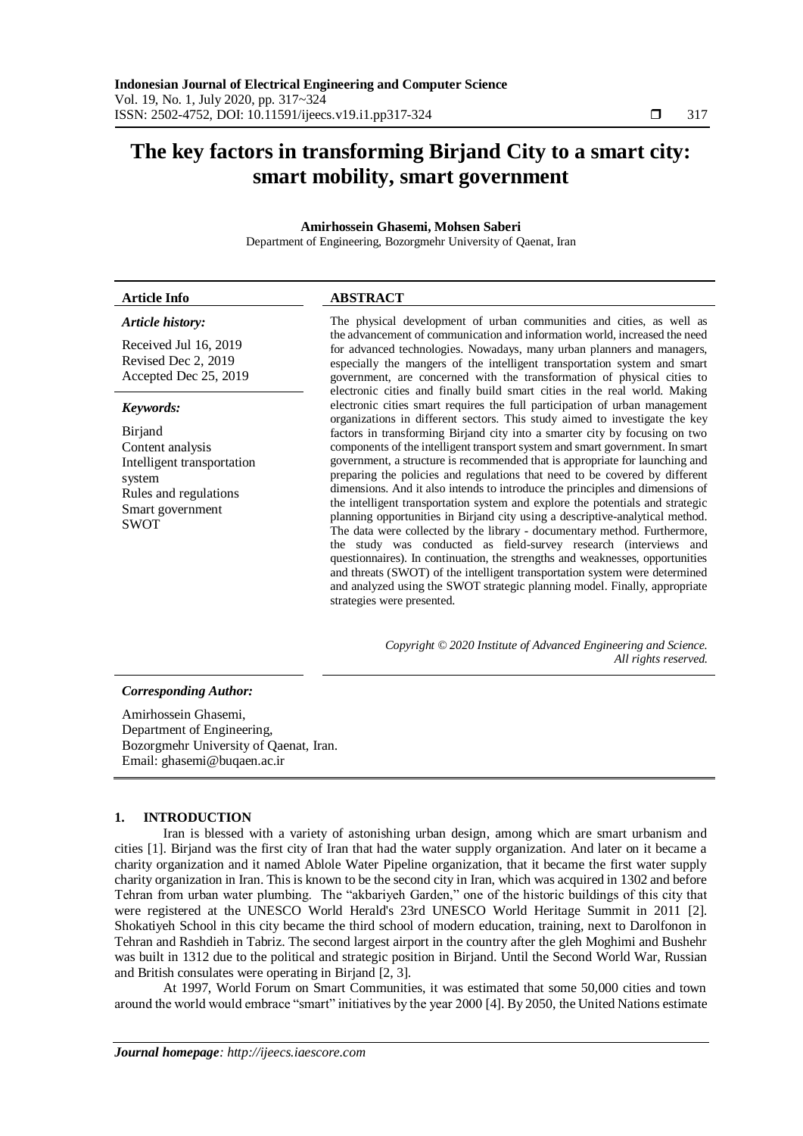# **The key factors in transforming Birjand City to a smart city: smart mobility, smart government**

# **Amirhossein Ghasemi, Mohsen Saberi**

Department of Engineering, Bozorgmehr University of Qaenat, Iran

## **Article Info ABSTRACT**

### *Article history:*

Received Jul 16, 2019 Revised Dec 2, 2019 Accepted Dec 25, 2019

### *Keywords:*

Birjand Content analysis Intelligent transportation system Rules and regulations Smart government SWOT

The physical development of urban communities and cities, as well as the advancement of communication and information world, increased the need for advanced technologies. Nowadays, many urban planners and managers, especially the mangers of the intelligent transportation system and smart government, are concerned with the transformation of physical cities to electronic cities and finally build smart cities in the real world. Making electronic cities smart requires the full participation of urban management organizations in different sectors. This study aimed to investigate the key factors in transforming Birjand city into a smarter city by focusing on two components of the intelligent transport system and smart government. In smart government, a structure is recommended that is appropriate for launching and preparing the policies and regulations that need to be covered by different dimensions. And it also intends to introduce the principles and dimensions of the intelligent transportation system and explore the potentials and strategic planning opportunities in Birjand city using a descriptive-analytical method. The data were collected by the library - documentary method. Furthermore, the study was conducted as field-survey research (interviews and questionnaires). In continuation, the strengths and weaknesses, opportunities and threats (SWOT) of the intelligent transportation system were determined and analyzed using the SWOT strategic planning model. Finally, appropriate strategies were presented.

> *Copyright © 2020 Institute of Advanced Engineering and Science. All rights reserved.*

### *Corresponding Author:*

Amirhossein Ghasemi, Department of Engineering, Bozorgmehr University of Qaenat, Iran. Email: ghasemi@buqaen.ac.ir

### **1. INTRODUCTION**

Iran is blessed with a variety of astonishing urban design, among which are smart urbanism and cities [1]. Birjand was the first city of Iran that had the water supply organization. And later on it became a charity organization and it named Ablole Water Pipeline organization, that it became the first water supply charity organization in Iran. This is known to be the second city in Iran, which was acquired in 1302 and before Tehran from urban water plumbing. The "akbariyeh Garden," one of the historic buildings of this city that were registered at the UNESCO World Herald's 23rd UNESCO World Heritage Summit in 2011 [2]. Shokatiyeh School in this city became the third school of modern education, training, next to Darolfonon in Tehran and Rashdieh in Tabriz. The second largest airport in the country after the gleh Moghimi and Bushehr was built in 1312 due to the political and strategic position in Birjand. Until the Second World War, Russian and British consulates were operating in Birjand [2, 3].

At 1997, World Forum on Smart Communities, it was estimated that some 50,000 cities and town around the world would embrace "smart" initiatives by the year 2000 [4]. By 2050, the United Nations estimate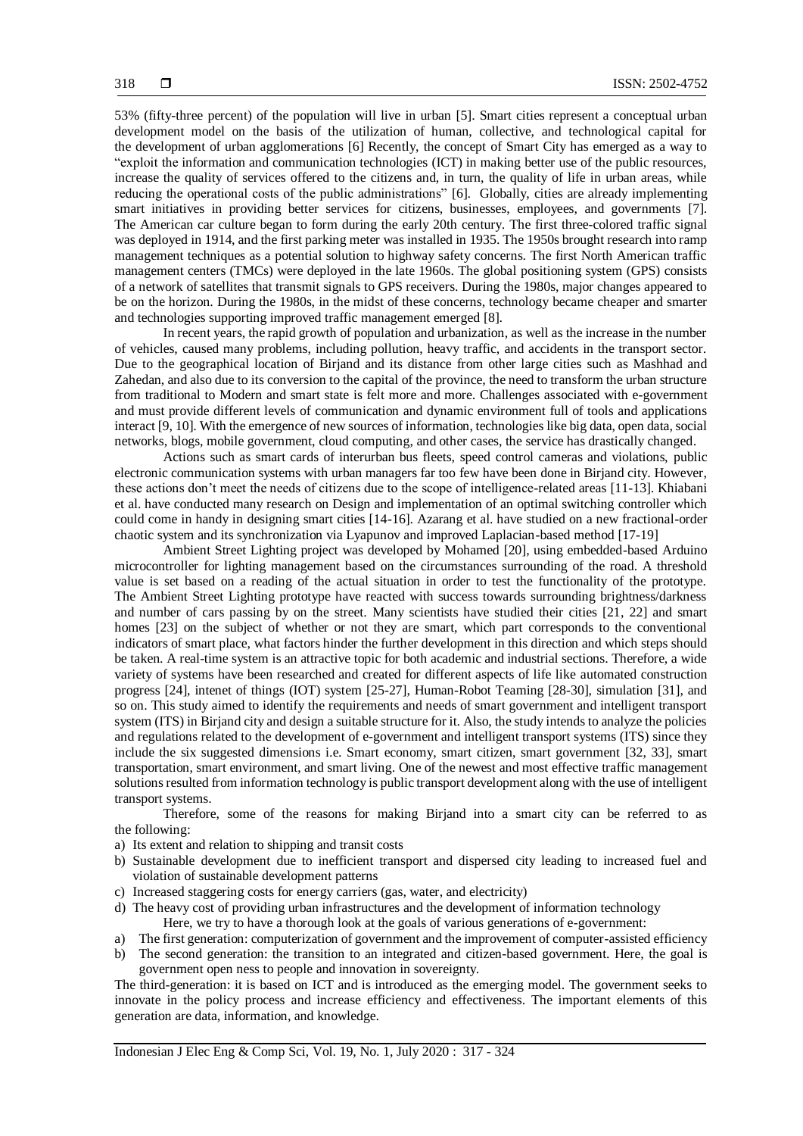53% (fifty-three percent) of the population will live in urban [5]. Smart cities represent a conceptual urban development model on the basis of the utilization of human, collective, and technological capital for the development of urban agglomerations [6] Recently, the concept of Smart City has emerged as a way to "exploit the information and communication technologies (ICT) in making better use of the public resources, increase the quality of services offered to the citizens and, in turn, the quality of life in urban areas, while reducing the operational costs of the public administrations" [6]. Globally, cities are already implementing smart initiatives in providing better services for citizens, businesses, employees, and governments [7]. The American car culture began to form during the early 20th century. The first three-colored traffic signal was deployed in 1914, and the first parking meter was installed in 1935. The 1950s brought research into ramp management techniques as a potential solution to highway safety concerns. The first North American traffic management centers (TMCs) were deployed in the late 1960s. The global positioning system (GPS) consists of a network of satellites that transmit signals to GPS receivers. During the 1980s, major changes appeared to be on the horizon. During the 1980s, in the midst of these concerns, technology became cheaper and smarter and technologies supporting improved traffic management emerged [8].

In recent years, the rapid growth of population and urbanization, as well as the increase in the number of vehicles, caused many problems, including pollution, heavy traffic, and accidents in the transport sector. Due to the geographical location of Birjand and its distance from other large cities such as Mashhad and Zahedan, and also due to its conversion to the capital of the province, the need to transform the urban structure from traditional to Modern and smart state is felt more and more. Challenges associated with e-government and must provide different levels of communication and dynamic environment full of tools and applications interact [9, 10]. With the emergence of new sources of information, technologies like big data, open data, social networks, blogs, mobile government, cloud computing, and other cases, the service has drastically changed.

Actions such as smart cards of interurban bus fleets, speed control cameras and violations, public electronic communication systems with urban managers far too few have been done in Birjand city. However, these actions don't meet the needs of citizens due to the scope of intelligence-related areas [11-13]. Khiabani et al. have conducted many research on Design and implementation of an optimal switching controller which could come in handy in designing smart cities [14-16]. Azarang et al. have studied on a new fractional-order chaotic system and its synchronization via Lyapunov and improved Laplacian-based method [17-19]

Ambient Street Lighting project was developed by Mohamed [20], using embedded-based Arduino microcontroller for lighting management based on the circumstances surrounding of the road. A threshold value is set based on a reading of the actual situation in order to test the functionality of the prototype. The Ambient Street Lighting prototype have reacted with success towards surrounding brightness/darkness and number of cars passing by on the street. Many scientists have studied their cities [21, 22] and smart homes [23] on the subject of whether or not they are smart, which part corresponds to the conventional indicators of smart place, what factors hinder the further development in this direction and which steps should be taken. A real-time system is an attractive topic for both academic and industrial sections. Therefore, a wide variety of systems have been researched and created for different aspects of life like automated construction progress [24], intenet of things (IOT) system [25-27], Human-Robot Teaming [28-30], simulation [31], and so on. This study aimed to identify the requirements and needs of smart government and intelligent transport system (ITS) in Birjand city and design a suitable structure for it. Also, the study intends to analyze the policies and regulations related to the development of e-government and intelligent transport systems (ITS) since they include the six suggested dimensions i.e. Smart economy, smart citizen, smart government [32, 33], smart transportation, smart environment, and smart living. One of the newest and most effective traffic management solutions resulted from information technology is public transport development along with the use of intelligent transport systems.

Therefore, some of the reasons for making Birjand into a smart city can be referred to as the following:

- a) Its extent and relation to shipping and transit costs
- b) Sustainable development due to inefficient transport and dispersed city leading to increased fuel and violation of sustainable development patterns
- c) Increased staggering costs for energy carriers (gas, water, and electricity)
- d) The heavy cost of providing urban infrastructures and the development of information technology
	- Here, we try to have a thorough look at the goals of various generations of e-government:
- a) The first generation: computerization of government and the improvement of computer-assisted efficiency b) The second generation: the transition to an integrated and citizen-based government. Here, the goal is government open ness to people and innovation in sovereignty.

The third-generation: it is based on ICT and is introduced as the emerging model. The government seeks to innovate in the policy process and increase efficiency and effectiveness. The important elements of this generation are data, information, and knowledge.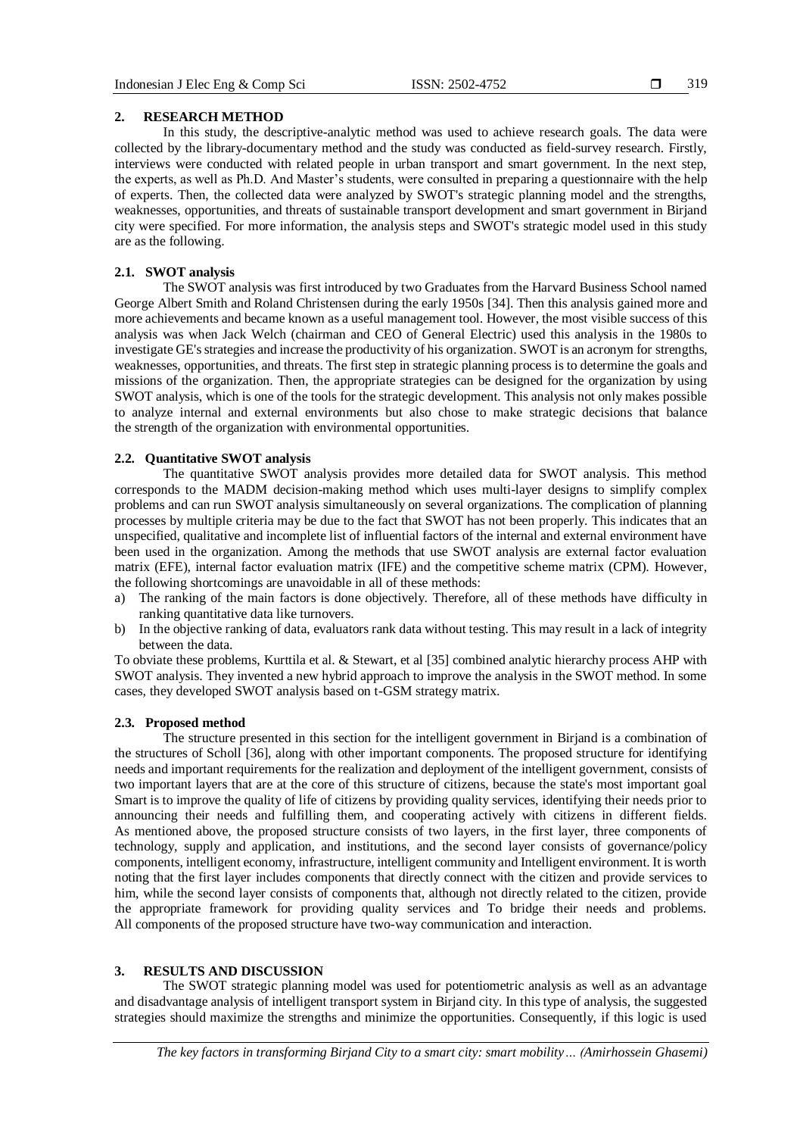319

#### **2. RESEARCH METHOD**

In this study, the descriptive-analytic method was used to achieve research goals. The data were collected by the library-documentary method and the study was conducted as field-survey research. Firstly, interviews were conducted with related people in urban transport and smart government. In the next step, the experts, as well as Ph.D. And Master's students, were consulted in preparing a questionnaire with the help of experts. Then, the collected data were analyzed by SWOT's strategic planning model and the strengths, weaknesses, opportunities, and threats of sustainable transport development and smart government in Birjand city were specified. For more information, the analysis steps and SWOT's strategic model used in this study are as the following.

## **2.1. SWOT analysis**

The SWOT analysis was first introduced by two Graduates from the Harvard Business School named George Albert Smith and Roland Christensen during the early 1950s [34]. Then this analysis gained more and more achievements and became known as a useful management tool. However, the most visible success of this analysis was when Jack Welch (chairman and CEO of General Electric) used this analysis in the 1980s to investigate GE's strategies and increase the productivity of his organization. SWOT is an acronym for strengths, weaknesses, opportunities, and threats. The first step in strategic planning process is to determine the goals and missions of the organization. Then, the appropriate strategies can be designed for the organization by using SWOT analysis, which is one of the tools for the strategic development. This analysis not only makes possible to analyze internal and external environments but also chose to make strategic decisions that balance the strength of the organization with environmental opportunities.

# **2.2. Quantitative SWOT analysis**

The quantitative SWOT analysis provides more detailed data for SWOT analysis. This method corresponds to the MADM decision-making method which uses multi-layer designs to simplify complex problems and can run SWOT analysis simultaneously on several organizations. The complication of planning processes by multiple criteria may be due to the fact that SWOT has not been properly. This indicates that an unspecified, qualitative and incomplete list of influential factors of the internal and external environment have been used in the organization. Among the methods that use SWOT analysis are external factor evaluation matrix (EFE), internal factor evaluation matrix (IFE) and the competitive scheme matrix (CPM). However, the following shortcomings are unavoidable in all of these methods:

- a) The ranking of the main factors is done objectively. Therefore, all of these methods have difficulty in ranking quantitative data like turnovers.
- b) In the objective ranking of data, evaluators rank data without testing. This may result in a lack of integrity between the data.

To obviate these problems, Kurttila et al. & Stewart, et al [35] combined analytic hierarchy process AHP with SWOT analysis. They invented a new hybrid approach to improve the analysis in the SWOT method. In some cases, they developed SWOT analysis based on t-GSM strategy matrix.

### **2.3. Proposed method**

The structure presented in this section for the intelligent government in Birjand is a combination of the structures of Scholl [36], along with other important components. The proposed structure for identifying needs and important requirements for the realization and deployment of the intelligent government, consists of two important layers that are at the core of this structure of citizens, because the state's most important goal Smart is to improve the quality of life of citizens by providing quality services, identifying their needs prior to announcing their needs and fulfilling them, and cooperating actively with citizens in different fields. As mentioned above, the proposed structure consists of two layers, in the first layer, three components of technology, supply and application, and institutions, and the second layer consists of governance/policy components, intelligent economy, infrastructure, intelligent community and Intelligent environment. It is worth noting that the first layer includes components that directly connect with the citizen and provide services to him, while the second layer consists of components that, although not directly related to the citizen, provide the appropriate framework for providing quality services and To bridge their needs and problems. All components of the proposed structure have two-way communication and interaction.

# **3. RESULTS AND DISCUSSION**

The SWOT strategic planning model was used for potentiometric analysis as well as an advantage and disadvantage analysis of intelligent transport system in Birjand city. In this type of analysis, the suggested strategies should maximize the strengths and minimize the opportunities. Consequently, if this logic is used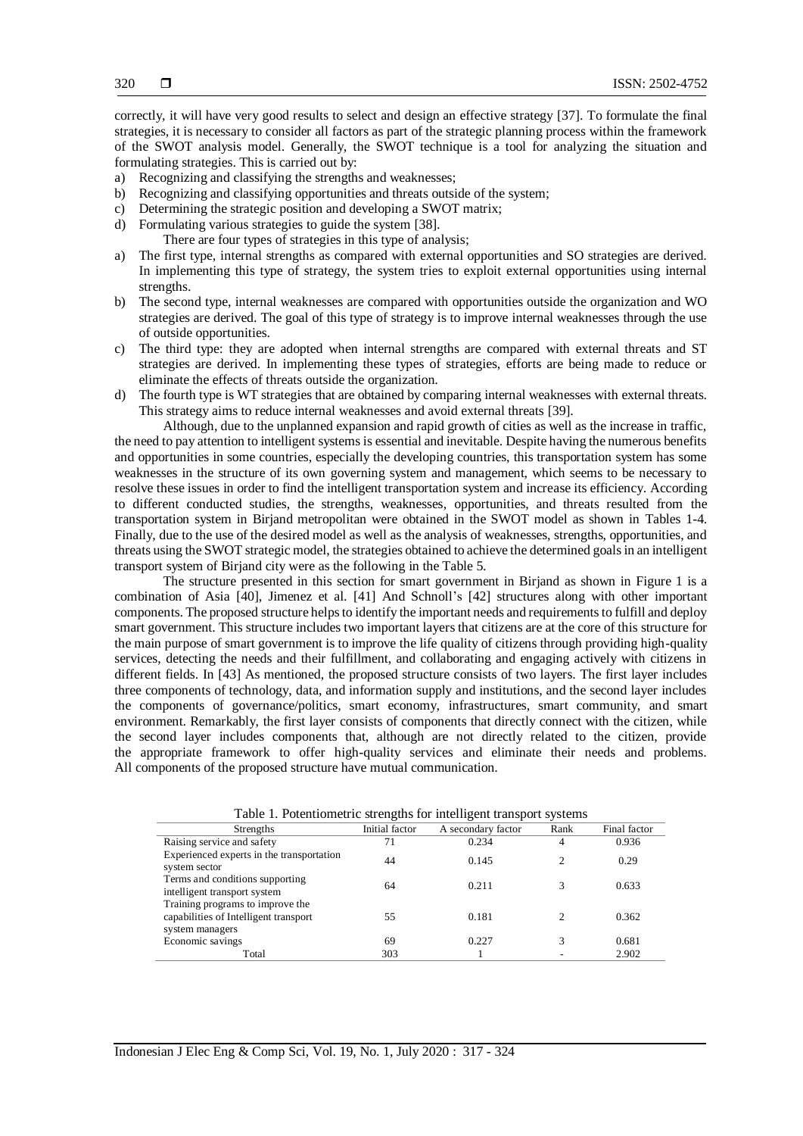correctly, it will have very good results to select and design an effective strategy [37]. To formulate the final strategies, it is necessary to consider all factors as part of the strategic planning process within the framework of the SWOT analysis model. Generally, the SWOT technique is a tool for analyzing the situation and formulating strategies. This is carried out by:

- a) Recognizing and classifying the strengths and weaknesses;
- b) Recognizing and classifying opportunities and threats outside of the system;
- c) Determining the strategic position and developing a SWOT matrix;
- d) Formulating various strategies to guide the system [38]. There are four types of strategies in this type of analysis;
- a) The first type, internal strengths as compared with external opportunities and SO strategies are derived. In implementing this type of strategy, the system tries to exploit external opportunities using internal strengths.
- b) The second type, internal weaknesses are compared with opportunities outside the organization and WO strategies are derived. The goal of this type of strategy is to improve internal weaknesses through the use of outside opportunities.
- c) The third type: they are adopted when internal strengths are compared with external threats and ST strategies are derived. In implementing these types of strategies, efforts are being made to reduce or eliminate the effects of threats outside the organization.
- d) The fourth type is WT strategies that are obtained by comparing internal weaknesses with external threats. This strategy aims to reduce internal weaknesses and avoid external threats [39].

Although, due to the unplanned expansion and rapid growth of cities as well as the increase in traffic, the need to pay attention to intelligent systems is essential and inevitable. Despite having the numerous benefits and opportunities in some countries, especially the developing countries, this transportation system has some weaknesses in the structure of its own governing system and management, which seems to be necessary to resolve these issues in order to find the intelligent transportation system and increase its efficiency. According to different conducted studies, the strengths, weaknesses, opportunities, and threats resulted from the transportation system in Birjand metropolitan were obtained in the SWOT model as shown in Tables 1-4. Finally, due to the use of the desired model as well as the analysis of weaknesses, strengths, opportunities, and threats using the SWOT strategic model, the strategies obtained to achieve the determined goals in an intelligent transport system of Birjand city were as the following in the Table 5.

The structure presented in this section for smart government in Birjand as shown in Figure 1 is a combination of Asia [40], Jimenez et al. [41] And Schnoll's [42] structures along with other important components. The proposed structure helps to identify the important needs and requirements to fulfill and deploy smart government. This structure includes two important layers that citizens are at the core of this structure for the main purpose of smart government is to improve the life quality of citizens through providing high-quality services, detecting the needs and their fulfillment, and collaborating and engaging actively with citizens in different fields. In [43] As mentioned, the proposed structure consists of two layers. The first layer includes three components of technology, data, and information supply and institutions, and the second layer includes the components of governance/politics, smart economy, infrastructures, smart community, and smart environment. Remarkably, the first layer consists of components that directly connect with the citizen, while the second layer includes components that, although are not directly related to the citizen, provide the appropriate framework to offer high-quality services and eliminate their needs and problems. All components of the proposed structure have mutual communication.

| Table 1. Potentiometric strengths for intelligent transport systems                          |                |                    |      |              |
|----------------------------------------------------------------------------------------------|----------------|--------------------|------|--------------|
| Strengths                                                                                    | Initial factor | A secondary factor | Rank | Final factor |
| Raising service and safety                                                                   | 71             | 0.234              | 4    | 0.936        |
| Experienced experts in the transportation<br>system sector                                   | 44             | 0.145              | 2    | 0.29         |
| Terms and conditions supporting<br>intelligent transport system                              | 64             | 0.211              |      | 0.633        |
| Training programs to improve the<br>capabilities of Intelligent transport<br>system managers | 55             | 0.181              |      | 0.362        |
| Economic savings                                                                             | 69             | 0.227              |      | 0.681        |
| Total                                                                                        | 303            |                    |      | 2.902        |

Table 1. Potentiometric strengths for intelligent transport systems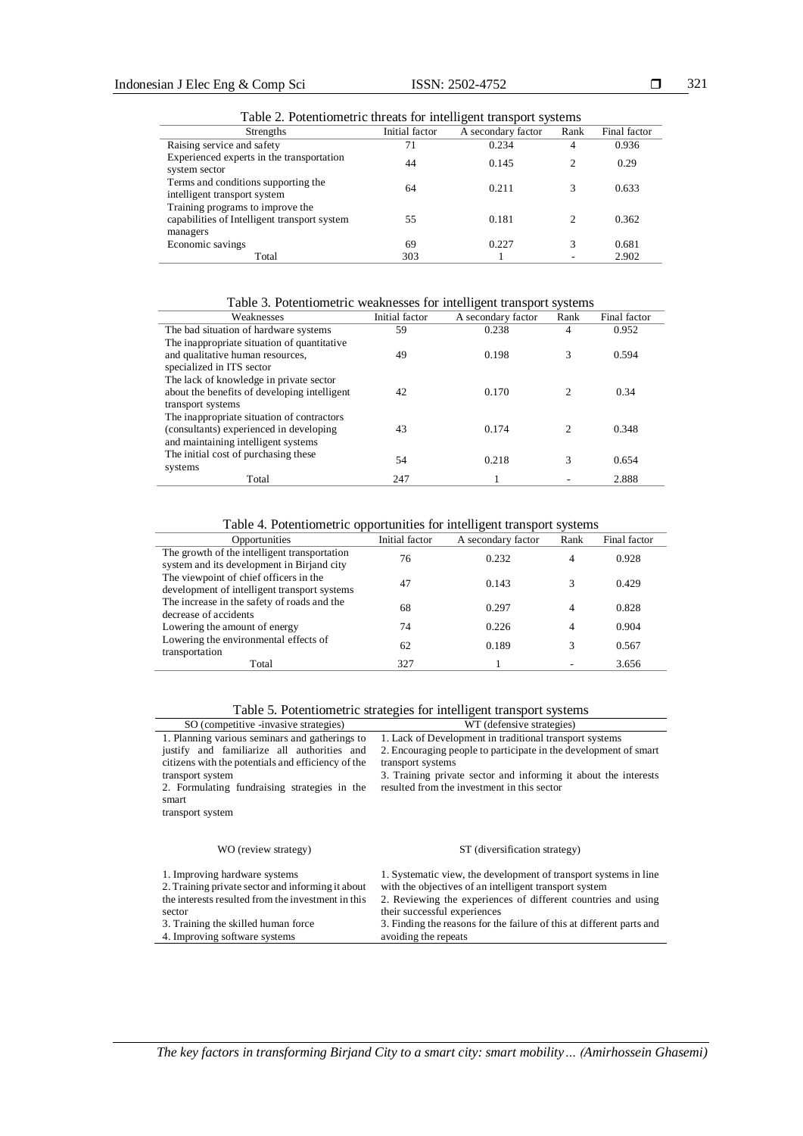Table 2. Potentiometric threats for intelligent transport systems

| Table 2. I dictitionicate un cats for intemgent aansport systems                             |                |                    |                |              |
|----------------------------------------------------------------------------------------------|----------------|--------------------|----------------|--------------|
| Strengths                                                                                    | Initial factor | A secondary factor | Rank           | Final factor |
| Raising service and safety                                                                   | 71             | 0.234              | 4              | 0.936        |
| Experienced experts in the transportation<br>system sector                                   | 44             | 0.145              | $\overline{c}$ | 0.29         |
| Terms and conditions supporting the<br>intelligent transport system                          | 64             | 0.211              | 3              | 0.633        |
| Training programs to improve the<br>capabilities of Intelligent transport system<br>managers | 55             | 0.181              | 2              | 0.362        |
| Economic savings                                                                             | 69             | 0.227              | 3              | 0.681        |
| Total                                                                                        | 303            |                    |                | 2.902        |

Table 3. Potentiometric weaknesses for intelligent transport systems

| Weaknesses                                   | Initial factor | A secondary factor | Rank                        | Final factor |
|----------------------------------------------|----------------|--------------------|-----------------------------|--------------|
| The bad situation of hardware systems        | 59             | 0.238              | 4                           | 0.952        |
| The inappropriate situation of quantitative  |                |                    |                             |              |
| and qualitative human resources,             | 49             | 0.198              | 3                           | 0.594        |
| specialized in ITS sector                    |                |                    |                             |              |
| The lack of knowledge in private sector      |                |                    |                             |              |
| about the benefits of developing intelligent | 42             | 0.170              | $\mathcal{D}_{\mathcal{L}}$ | 0.34         |
| transport systems                            |                |                    |                             |              |
| The inappropriate situation of contractors   |                |                    |                             |              |
| (consultants) experienced in developing      | 43             | 0.174              | $\mathcal{D}_{\mathcal{L}}$ | 0.348        |
| and maintaining intelligent systems          |                |                    |                             |              |
| The initial cost of purchasing these         | 54             | 0.218              | 3                           | 0.654        |
| systems                                      |                |                    |                             |              |
| Total                                        | 247            |                    |                             | 2.888        |

Table 4. Potentiometric opportunities for intelligent transport systems

| Opportunities                                | Initial factor | A secondary factor | Rank | Final factor |
|----------------------------------------------|----------------|--------------------|------|--------------|
| The growth of the intelligent transportation | 76             | 0.232              | 4    | 0.928        |
| system and its development in Birjand city   |                |                    |      |              |
| The viewpoint of chief officers in the       | 47             | 0.143              |      | 0.429        |
| development of intelligent transport systems |                |                    |      |              |
| The increase in the safety of roads and the  | 68             | 0.297              | 4    | 0.828        |
| decrease of accidents                        |                |                    |      |              |
| Lowering the amount of energy                | 74             | 0.226              | 4    | 0.904        |
| Lowering the environmental effects of        | 62             | 0.189              |      | 0.567        |
| transportation                               |                |                    |      |              |
| Total                                        | 327            |                    |      | 3.656        |

|                                                                                                                                                                                                                                                      | Table 5. Potentiometric strategies for intelligent transport systems                                                                                                                                                                                                                                                         |
|------------------------------------------------------------------------------------------------------------------------------------------------------------------------------------------------------------------------------------------------------|------------------------------------------------------------------------------------------------------------------------------------------------------------------------------------------------------------------------------------------------------------------------------------------------------------------------------|
| SO (competitive -invasive strategies)                                                                                                                                                                                                                | WT (defensive strategies)                                                                                                                                                                                                                                                                                                    |
| 1. Planning various seminars and gatherings to<br>justify and familiarize all authorities and<br>citizens with the potentials and efficiency of the<br>transport system<br>2. Formulating fundraising strategies in the<br>smart<br>transport system | 1. Lack of Development in traditional transport systems<br>2. Encouraging people to participate in the development of smart<br>transport systems<br>3. Training private sector and informing it about the interests<br>resulted from the investment in this sector                                                           |
| WO (review strategy)                                                                                                                                                                                                                                 | ST (diversification strategy)                                                                                                                                                                                                                                                                                                |
| 1. Improving hardware systems<br>2. Training private sector and informing it about<br>the interests resulted from the investment in this<br>sector<br>3. Training the skilled human force<br>4. Improving software systems                           | 1. Systematic view, the development of transport systems in line<br>with the objectives of an intelligent transport system<br>2. Reviewing the experiences of different countries and using<br>their successful experiences<br>3. Finding the reasons for the failure of this at different parts and<br>avoiding the repeats |

*The key factors in transforming Birjand City to a smart city: smart mobility… (Amirhossein Ghasemi)*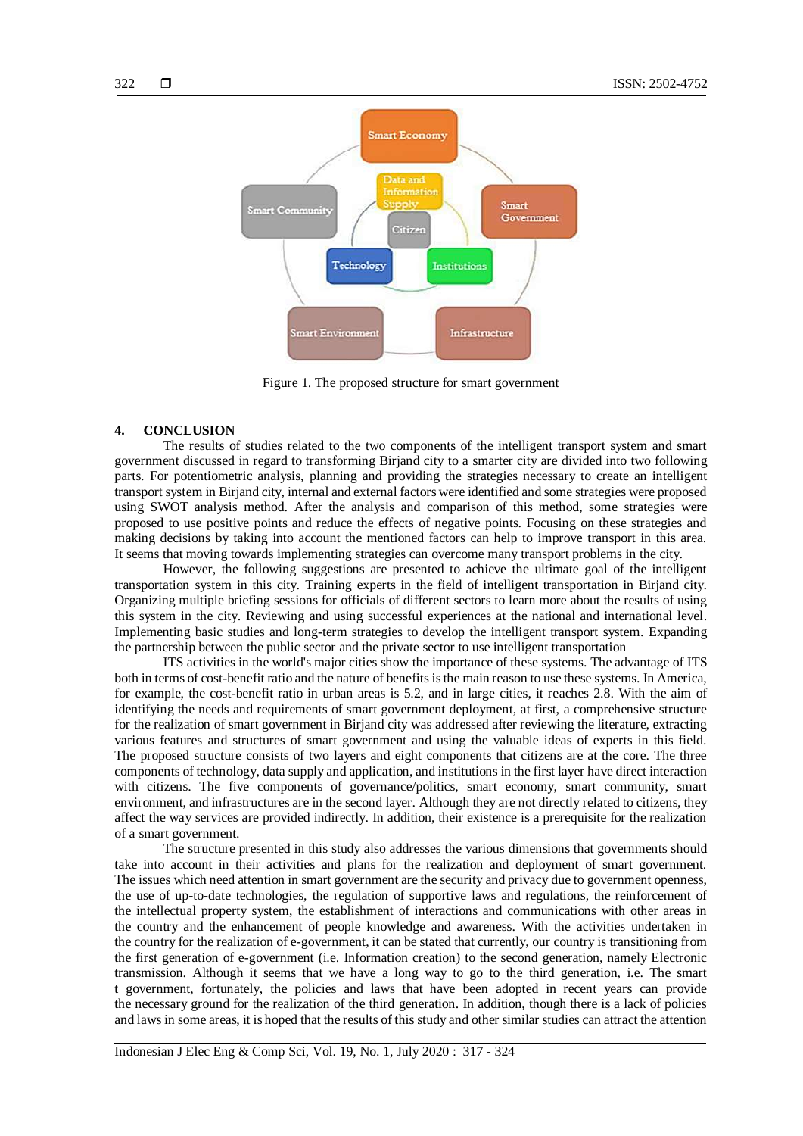

Figure 1. The proposed structure for smart government

### **4. CONCLUSION**

The results of studies related to the two components of the intelligent transport system and smart government discussed in regard to transforming Birjand city to a smarter city are divided into two following parts. For potentiometric analysis, planning and providing the strategies necessary to create an intelligent transport system in Birjand city, internal and external factors were identified and some strategies were proposed using SWOT analysis method. After the analysis and comparison of this method, some strategies were proposed to use positive points and reduce the effects of negative points. Focusing on these strategies and making decisions by taking into account the mentioned factors can help to improve transport in this area. It seems that moving towards implementing strategies can overcome many transport problems in the city.

However, the following suggestions are presented to achieve the ultimate goal of the intelligent transportation system in this city. Training experts in the field of intelligent transportation in Birjand city. Organizing multiple briefing sessions for officials of different sectors to learn more about the results of using this system in the city. Reviewing and using successful experiences at the national and international level. Implementing basic studies and long-term strategies to develop the intelligent transport system. Expanding the partnership between the public sector and the private sector to use intelligent transportation

ITS activities in the world's major cities show the importance of these systems. The advantage of ITS both in terms of cost-benefit ratio and the nature of benefits is the main reason to use these systems. In America, for example, the cost-benefit ratio in urban areas is 5.2, and in large cities, it reaches 2.8. With the aim of identifying the needs and requirements of smart government deployment, at first, a comprehensive structure for the realization of smart government in Birjand city was addressed after reviewing the literature, extracting various features and structures of smart government and using the valuable ideas of experts in this field. The proposed structure consists of two layers and eight components that citizens are at the core. The three components of technology, data supply and application, and institutions in the first layer have direct interaction with citizens. The five components of governance/politics, smart economy, smart community, smart environment, and infrastructures are in the second layer. Although they are not directly related to citizens, they affect the way services are provided indirectly. In addition, their existence is a prerequisite for the realization of a smart government.

The structure presented in this study also addresses the various dimensions that governments should take into account in their activities and plans for the realization and deployment of smart government. The issues which need attention in smart government are the security and privacy due to government openness, the use of up-to-date technologies, the regulation of supportive laws and regulations, the reinforcement of the intellectual property system, the establishment of interactions and communications with other areas in the country and the enhancement of people knowledge and awareness. With the activities undertaken in the country for the realization of e-government, it can be stated that currently, our country is transitioning from the first generation of e-government (i.e. Information creation) to the second generation, namely Electronic transmission. Although it seems that we have a long way to go to the third generation, i.e. The smart t government, fortunately, the policies and laws that have been adopted in recent years can provide the necessary ground for the realization of the third generation. In addition, though there is a lack of policies and laws in some areas, it is hoped that the results of this study and other similar studies can attract the attention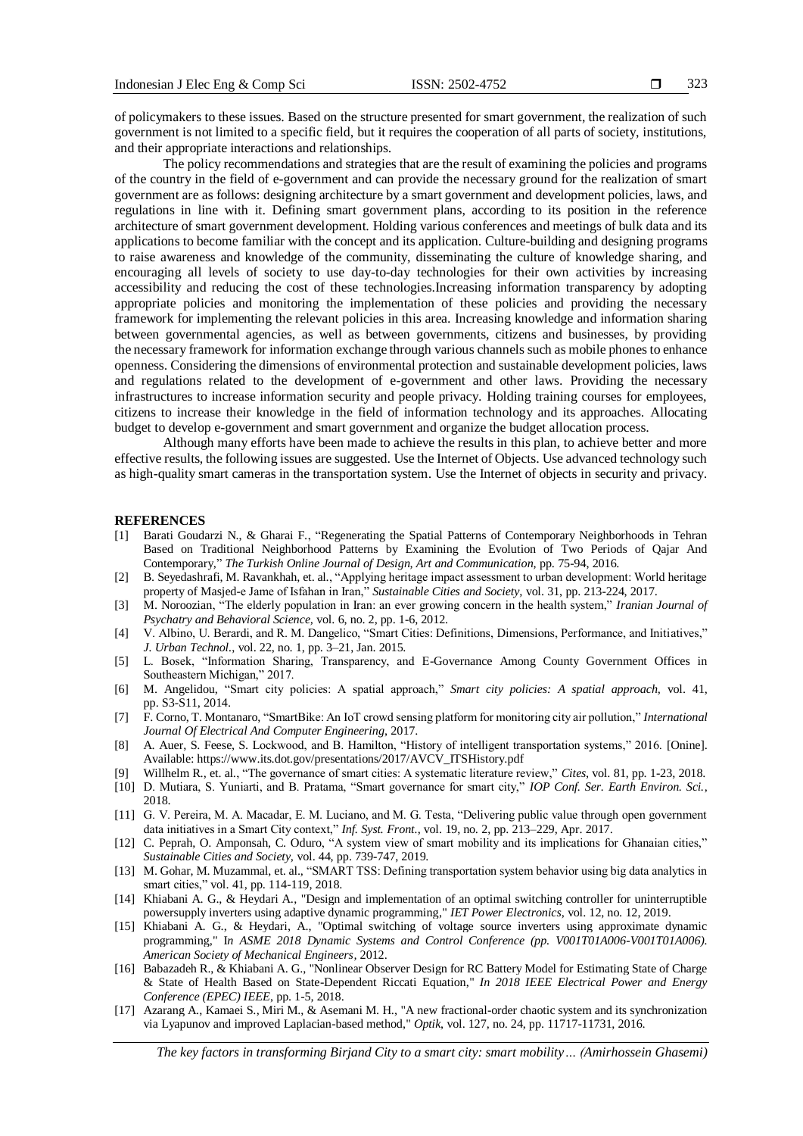of policymakers to these issues. Based on the structure presented for smart government, the realization of such government is not limited to a specific field, but it requires the cooperation of all parts of society, institutions, and their appropriate interactions and relationships.

The policy recommendations and strategies that are the result of examining the policies and programs of the country in the field of e-government and can provide the necessary ground for the realization of smart government are as follows: designing architecture by a smart government and development policies, laws, and regulations in line with it. Defining smart government plans, according to its position in the reference architecture of smart government development. Holding various conferences and meetings of bulk data and its applications to become familiar with the concept and its application. Culture-building and designing programs to raise awareness and knowledge of the community, disseminating the culture of knowledge sharing, and encouraging all levels of society to use day-to-day technologies for their own activities by increasing accessibility and reducing the cost of these technologies.Increasing information transparency by adopting appropriate policies and monitoring the implementation of these policies and providing the necessary framework for implementing the relevant policies in this area. Increasing knowledge and information sharing between governmental agencies, as well as between governments, citizens and businesses, by providing the necessary framework for information exchange through various channels such as mobile phones to enhance openness. Considering the dimensions of environmental protection and sustainable development policies, laws and regulations related to the development of e-government and other laws. Providing the necessary infrastructures to increase information security and people privacy. Holding training courses for employees, citizens to increase their knowledge in the field of information technology and its approaches. Allocating budget to develop e-government and smart government and organize the budget allocation process.

Although many efforts have been made to achieve the results in this plan, to achieve better and more effective results, the following issues are suggested. Use the Internet of Objects. Use advanced technology such as high-quality smart cameras in the transportation system. Use the Internet of objects in security and privacy.

#### **REFERENCES**

- [1] Barati Goudarzi N., & Gharai F., "Regenerating the Spatial Patterns of Contemporary Neighborhoods in Tehran Based on Traditional Neighborhood Patterns by Examining the Evolution of Two Periods of Qajar And Contemporary," *The Turkish Online Journal of Design, Art and Communication,* pp. 75-94, 2016.
- [2] B. Seyedashrafi, M. Ravankhah, et. al., "Applying heritage impact assessment to urban development: World heritage property of Masjed-e Jame of Isfahan in Iran," *Sustainable Cities and Society,* vol. 31, pp. 213-224, 2017.
- [3] M. Noroozian, "The elderly population in Iran: an ever growing concern in the health system," *Iranian Journal of Psychatry and Behavioral Science,* vol. 6, no. 2, pp. 1-6, 2012.
- [4] V. Albino, U. Berardi, and R. M. Dangelico, "Smart Cities: Definitions, Dimensions, Performance, and Initiatives," *J. Urban Technol.*, vol. 22, no. 1, pp. 3–21, Jan. 2015.
- [5] L. Bosek, "Information Sharing, Transparency, and E-Governance Among County Government Offices in Southeastern Michigan," 2017.
- [6] M. Angelidou, "Smart city policies: A spatial approach," *Smart city policies: A spatial approach,* vol. 41, pp. S3-S11, 2014.
- [7] F. Corno, T. Montanaro, "SmartBike: An IoT crowd sensing platform for monitoring city air pollution," *International Journal Of Electrical And Computer Engineering*, 2017.
- [8] A. Auer, S. Feese, S. Lockwood, and B. Hamilton, "History of intelligent transportation systems," 2016. [Onine]. Available[: https://www.its.dot.gov/presentations/2017/AVCV\\_ITSHistory.pdf](https://www.its.dot.gov/presentations/2017/AVCV_ITSHistory.pdf)
- [9] Willhelm R., et. al., "The governance of smart cities: A systematic literature review," *Cites*, vol. 81, pp. 1-23, 2018.
- [10] D. Mutiara, S. Yuniarti, and B. Pratama, "Smart governance for smart city," *IOP Conf. Ser. Earth Environ. Sci.*, 2018.
- [11] G. V. Pereira, M. A. Macadar, E. M. Luciano, and M. G. Testa, "Delivering public value through open government data initiatives in a Smart City context," *Inf. Syst. Front.*, vol. 19, no. 2, pp. 213–229, Apr. 2017.
- [12] C. Peprah, O. Amponsah, C. Oduro, "A system view of smart mobility and its implications for Ghanaian cities," *Sustainable Cities and Society,* vol. 44, pp. 739-747, 2019.
- [13] M. Gohar, M. Muzammal, et. al., "SMART TSS: Defining transportation system behavior using big data analytics in smart cities," vol. 41, pp. 114-119, 2018.
- [14] Khiabani A. G., & Heydari A., "Design and implementation of an optimal switching controller for uninterruptible powersupply inverters using adaptive dynamic programming," *IET Power Electronics*, vol. 12, no. 12, 2019.
- [15] Khiabani A. G., & Heydari, A., "Optimal switching of voltage source inverters using approximate dynamic programming," I*n ASME 2018 Dynamic Systems and Control Conference (pp. V001T01A006-V001T01A006). American Society of Mechanical Engineers,* 2012.
- [16] Babazadeh R., & Khiabani A. G., "Nonlinear Observer Design for RC Battery Model for Estimating State of Charge & State of Health Based on State-Dependent Riccati Equation," *In 2018 IEEE Electrical Power and Energy Conference (EPEC) IEEE*, pp. 1-5*,* 2018.
- [17] Azarang A., Kamaei S., Miri M., & Asemani M. H., "A new fractional-order chaotic system and its synchronization via Lyapunov and improved Laplacian-based method," *Optik*, vol. 127, no. 24, pp. 11717-11731, 2016.

*The key factors in transforming Birjand City to a smart city: smart mobility… (Amirhossein Ghasemi)*